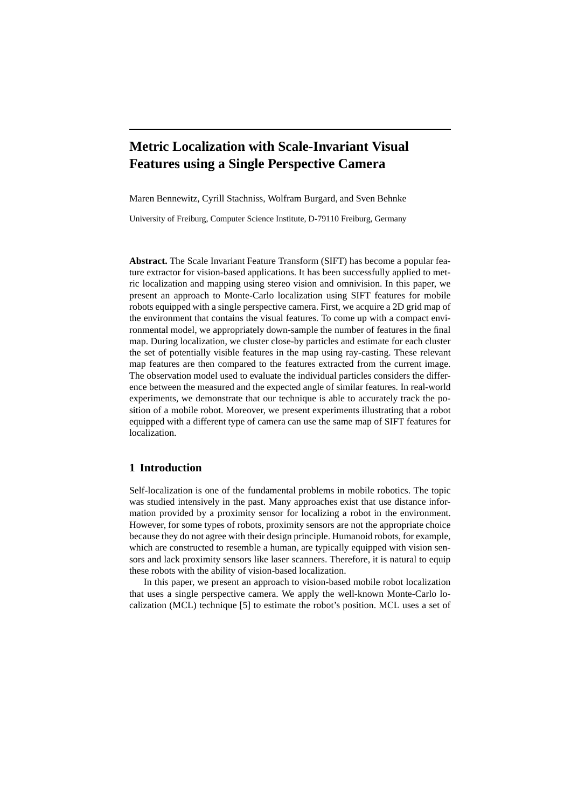# **Metric Localization with Scale-Invariant Visual Features using a Single Perspective Camera**

Maren Bennewitz, Cyrill Stachniss, Wolfram Burgard, and Sven Behnke

University of Freiburg, Computer Science Institute, D-79110 Freiburg, Germany

**Abstract.** The Scale Invariant Feature Transform (SIFT) has become a popular feature extractor for vision-based applications. It has been successfully applied to metric localization and mapping using stereo vision and omnivision. In this paper, we present an approach to Monte-Carlo localization using SIFT features for mobile robots equipped with a single perspective camera. First, we acquire a 2D grid map of the environment that contains the visual features. To come up with a compact environmental model, we appropriately down-sample the number of features in the final map. During localization, we cluster close-by particles and estimate for each cluster the set of potentially visible features in the map using ray-casting. These relevant map features are then compared to the features extracted from the current image. The observation model used to evaluate the individual particles considers the difference between the measured and the expected angle of similar features. In real-world experiments, we demonstrate that our technique is able to accurately track the position of a mobile robot. Moreover, we present experiments illustrating that a robot equipped with a different type of camera can use the same map of SIFT features for localization.

# **1 Introduction**

Self-localization is one of the fundamental problems in mobile robotics. The topic was studied intensively in the past. Many approaches exist that use distance information provided by a proximity sensor for localizing a robot in the environment. However, for some types of robots, proximity sensors are not the appropriate choice because they do not agree with their design principle. Humanoid robots, for example, which are constructed to resemble a human, are typically equipped with vision sensors and lack proximity sensors like laser scanners. Therefore, it is natural to equip these robots with the ability of vision-based localization.

In this paper, we present an approach to vision-based mobile robot localization that uses a single perspective camera. We apply the well-known Monte-Carlo localization (MCL) technique [5] to estimate the robot's position. MCL uses a set of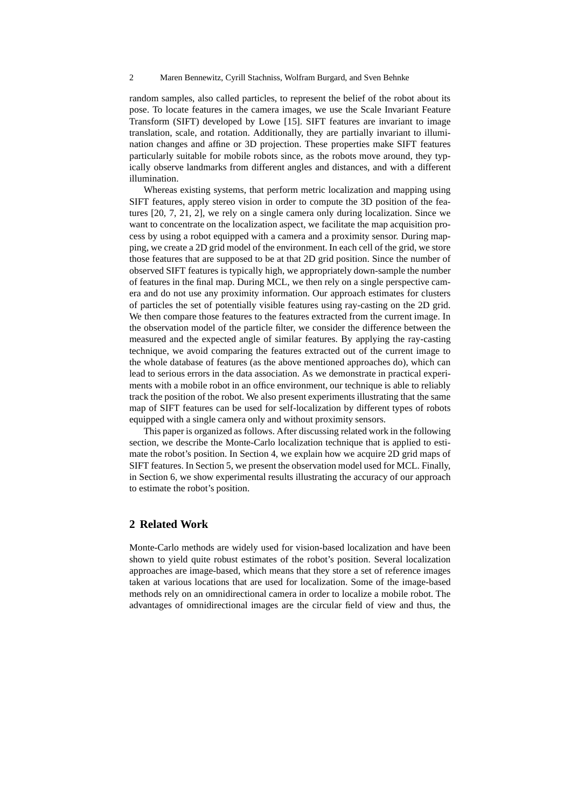random samples, also called particles, to represent the belief of the robot about its pose. To locate features in the camera images, we use the Scale Invariant Feature Transform (SIFT) developed by Lowe [15]. SIFT features are invariant to image translation, scale, and rotation. Additionally, they are partially invariant to illumination changes and affine or 3D projection. These properties make SIFT features particularly suitable for mobile robots since, as the robots move around, they typically observe landmarks from different angles and distances, and with a different illumination.

Whereas existing systems, that perform metric localization and mapping using SIFT features, apply stereo vision in order to compute the 3D position of the features [20, 7, 21, 2], we rely on a single camera only during localization. Since we want to concentrate on the localization aspect, we facilitate the map acquisition process by using a robot equipped with a camera and a proximity sensor. During mapping, we create a 2D grid model of the environment. In each cell of the grid, we store those features that are supposed to be at that 2D grid position. Since the number of observed SIFT features is typically high, we appropriately down-sample the number of features in the final map. During MCL, we then rely on a single perspective camera and do not use any proximity information. Our approach estimates for clusters of particles the set of potentially visible features using ray-casting on the 2D grid. We then compare those features to the features extracted from the current image. In the observation model of the particle filter, we consider the difference between the measured and the expected angle of similar features. By applying the ray-casting technique, we avoid comparing the features extracted out of the current image to the whole database of features (as the above mentioned approaches do), which can lead to serious errors in the data association. As we demonstrate in practical experiments with a mobile robot in an office environment, our technique is able to reliably track the position of the robot. We also present experiments illustrating that the same map of SIFT features can be used for self-localization by different types of robots equipped with a single camera only and without proximity sensors.

This paper is organized as follows. After discussing related work in the following section, we describe the Monte-Carlo localization technique that is applied to estimate the robot's position. In Section 4, we explain how we acquire 2D grid maps of SIFT features. In Section 5, we present the observation model used for MCL. Finally, in Section 6, we show experimental results illustrating the accuracy of our approach to estimate the robot's position.

# **2 Related Work**

Monte-Carlo methods are widely used for vision-based localization and have been shown to yield quite robust estimates of the robot's position. Several localization approaches are image-based, which means that they store a set of reference images taken at various locations that are used for localization. Some of the image-based methods rely on an omnidirectional camera in order to localize a mobile robot. The advantages of omnidirectional images are the circular field of view and thus, the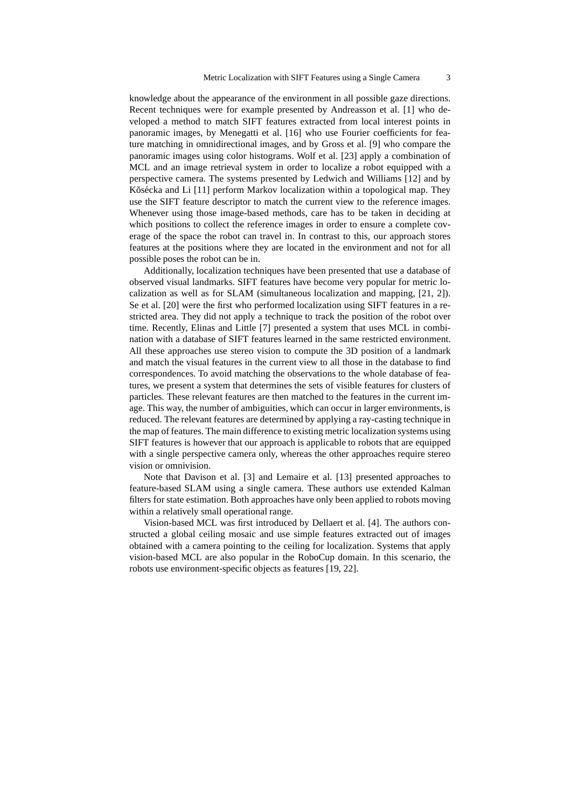knowledge about the appearance of the environment in all possible gaze directions. Recent techniques were for example presented by Andreasson et al. [1] who developed a method to match SIFT features extracted from local interest points in panoramic images, by Menegatti et al. [16] who use Fourier coefficients for feature matching in omnidirectional images, and by Gross et al. [9] who compare the panoramic images using color histograms. Wolf et al. [23] apply a combination of MCL and an image retrieval system in order to localize a robot equipped with a perspective camera. The systems presented by Ledwich and Williams [12] and by Kŏsécka and Li [11] perform Markov localization within a topological map. They use the SIFT feature descriptor to match the current view to the reference images. Whenever using those image-based methods, care has to be taken in deciding at which positions to collect the reference images in order to ensure a complete coverage of the space the robot can travel in. In contrast to this, our approach stores features at the positions where they are located in the environment and not for all possible poses the robot can be in.

Additionally, localization techniques have been presented that use a database of observed visual landmarks. SIFT features have become very popular for metric localization as well as for SLAM (simultaneous localization and mapping, [21, 2]). Se et al. [20] were the first who performed localization using SIFT features in a restricted area. They did not apply a technique to track the position of the robot over time. Recently, Elinas and Little [7] presented a system that uses MCL in combination with a database of SIFT features learned in the same restricted environment. All these approaches use stereo vision to compute the 3D position of a landmark and match the visual features in the current view to all those in the database to find correspondences. To avoid matching the observations to the whole database of features, we present a system that determines the sets of visible features for clusters of particles. These relevant features are then matched to the features in the current image. This way, the number of ambiguities, which can occur in larger environments, is reduced. The relevant features are determined by applying a ray-casting technique in the map of features. The main difference to existing metric localization systems using SIFT features is however that our approach is applicable to robots that are equipped with a single perspective camera only, whereas the other approaches require stereo vision or omnivision.

Note that Davison et al. [3] and Lemaire et al. [13] presented approaches to feature-based SLAM using a single camera. These authors use extended Kalman filters for state estimation. Both approaches have only been applied to robots moving within a relatively small operational range.

Vision-based MCL was first introduced by Dellaert et al. [4]. The authors constructed a global ceiling mosaic and use simple features extracted out of images obtained with a camera pointing to the ceiling for localization. Systems that apply vision-based MCL are also popular in the RoboCup domain. In this scenario, the robots use environment-specific objects as features [19, 22].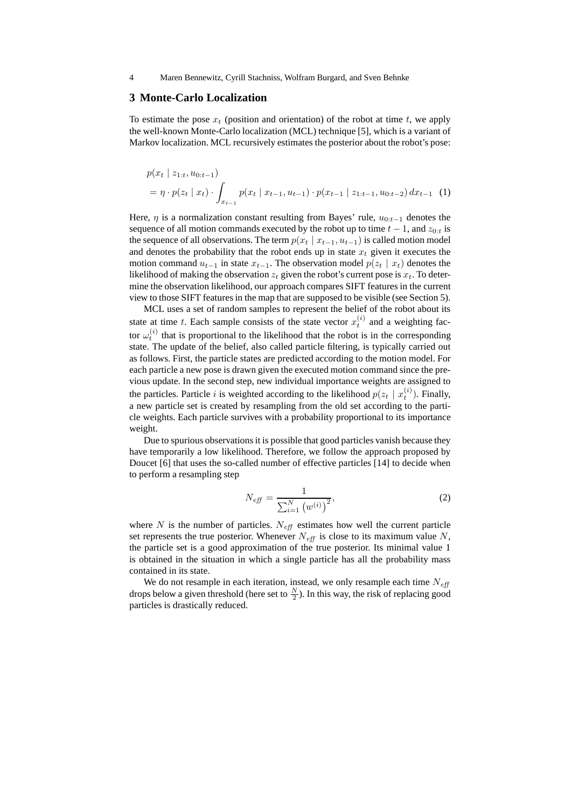### **3 Monte-Carlo Localization**

To estimate the pose  $x_t$  (position and orientation) of the robot at time  $t$ , we apply the well-known Monte-Carlo localization (MCL) technique [5], which is a variant of Markov localization. MCL recursively estimates the posterior about the robot's pose:

$$
p(x_t \mid z_{1:t}, u_{0:t-1})
$$
  
=  $\eta \cdot p(z_t \mid x_t) \cdot \int_{x_{t-1}} p(x_t \mid x_{t-1}, u_{t-1}) \cdot p(x_{t-1} \mid z_{1:t-1}, u_{0:t-2}) dx_{t-1}$  (1)

Here,  $\eta$  is a normalization constant resulting from Bayes' rule,  $u_{0:t-1}$  denotes the sequence of all motion commands executed by the robot up to time  $t - 1$ , and  $z_{0}$ . the sequence of all observations. The term  $p(x_t | x_{t-1}, u_{t-1})$  is called motion model and denotes the probability that the robot ends up in state  $x_t$  given it executes the motion command  $u_{t-1}$  in state  $x_{t-1}$ . The observation model  $p(z_t | x_t)$  denotes the likelihood of making the observation  $z_t$  given the robot's current pose is  $x_t$ . To determine the observation likelihood, our approach compares SIFT features in the current view to those SIFT features in the map that are supposed to be visible (see Section 5).

MCL uses a set of random samples to represent the belief of the robot about its state at time t. Each sample consists of the state vector  $x_t^{(i)}$  and a weighting factor  $\omega_t^{(i)}$  that is proportional to the likelihood that the robot is in the corresponding state. The update of the belief, also called particle filtering, is typically carried out as follows. First, the particle states are predicted according to the motion model. For each particle a new pose is drawn given the executed motion command since the previous update. In the second step, new individual importance weights are assigned to the particles. Particle *i* is weighted according to the likelihood  $p(z_t | x_t^{(i)})$ . Finally, a new particle set is created by resampling from the old set according to the particle weights. Each particle survives with a probability proportional to its importance weight.

Due to spurious observations it is possible that good particles vanish because they have temporarily a low likelihood. Therefore, we follow the approach proposed by Doucet [6] that uses the so-called number of effective particles [14] to decide when to perform a resampling step

$$
N_{\text{eff}} = \frac{1}{\sum_{i=1}^{N} (w^{(i)})^2},\tag{2}
$$

where  $N$  is the number of particles.  $N_{\text{eff}}$  estimates how well the current particle set represents the true posterior. Whenever  $N_{\text{eff}}$  is close to its maximum value N, the particle set is a good approximation of the true posterior. Its minimal value 1 is obtained in the situation in which a single particle has all the probability mass contained in its state.

We do not resample in each iteration, instead, we only resample each time  $N_{\text{eff}}$ drops below a given threshold (here set to  $\frac{N}{2}$ ). In this way, the risk of replacing good particles is drastically reduced.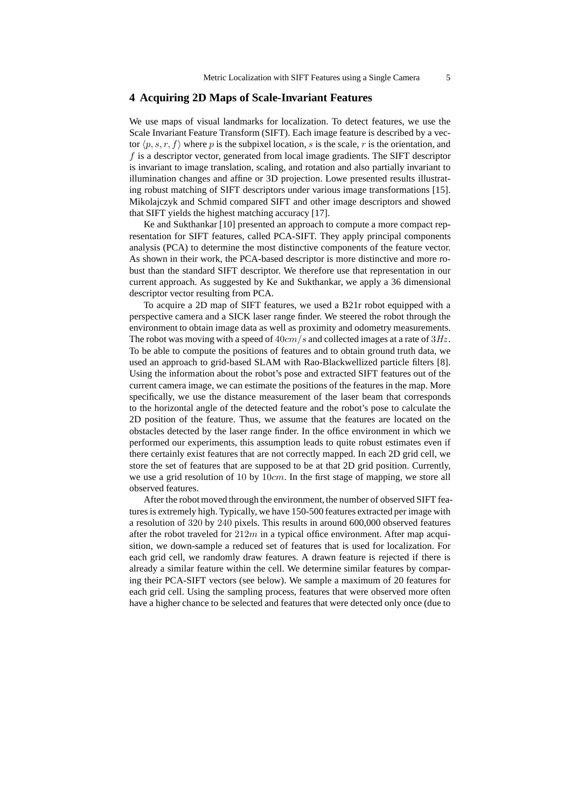### **4 Acquiring 2D Maps of Scale-Invariant Features**

We use maps of visual landmarks for localization. To detect features, we use the Scale Invariant Feature Transform (SIFT). Each image feature is described by a vector  $\langle p, s, r, f \rangle$  where p is the subpixel location, s is the scale, r is the orientation, and f is a descriptor vector, generated from local image gradients. The SIFT descriptor is invariant to image translation, scaling, and rotation and also partially invariant to illumination changes and affine or 3D projection. Lowe presented results illustrating robust matching of SIFT descriptors under various image transformations [15]. Mikolajczyk and Schmid compared SIFT and other image descriptors and showed that SIFT yields the highest matching accuracy [17].

Ke and Sukthankar [10] presented an approach to compute a more compact representation for SIFT features, called PCA-SIFT. They apply principal components analysis (PCA) to determine the most distinctive components of the feature vector. As shown in their work, the PCA-based descriptor is more distinctive and more robust than the standard SIFT descriptor. We therefore use that representation in our current approach. As suggested by Ke and Sukthankar, we apply a 36 dimensional descriptor vector resulting from PCA.

To acquire a 2D map of SIFT features, we used a B21r robot equipped with a perspective camera and a SICK laser range finder. We steered the robot through the environment to obtain image data as well as proximity and odometry measurements. The robot was moving with a speed of  $40 \, \text{cm/s}$  and collected images at a rate of  $3 \, \text{Hz}$ . To be able to compute the positions of features and to obtain ground truth data, we used an approach to grid-based SLAM with Rao-Blackwellized particle filters [8]. Using the information about the robot's pose and extracted SIFT features out of the current camera image, we can estimate the positions of the features in the map. More specifically, we use the distance measurement of the laser beam that corresponds to the horizontal angle of the detected feature and the robot's pose to calculate the 2D position of the feature. Thus, we assume that the features are located on the obstacles detected by the laser range finder. In the office environment in which we performed our experiments, this assumption leads to quite robust estimates even if there certainly exist features that are not correctly mapped. In each 2D grid cell, we store the set of features that are supposed to be at that 2D grid position. Currently, we use a grid resolution of 10 by  $10cm$ . In the first stage of mapping, we store all observed features.

After the robot moved through the environment, the number of observed SIFT features is extremely high. Typically, we have 150-500 features extracted per image with a resolution of 320 by 240 pixels. This results in around 600,000 observed features after the robot traveled for  $212m$  in a typical office environment. After map acquisition, we down-sample a reduced set of features that is used for localization. For each grid cell, we randomly draw features. A drawn feature is rejected if there is already a similar feature within the cell. We determine similar features by comparing their PCA-SIFT vectors (see below). We sample a maximum of 20 features for each grid cell. Using the sampling process, features that were observed more often have a higher chance to be selected and features that were detected only once (due to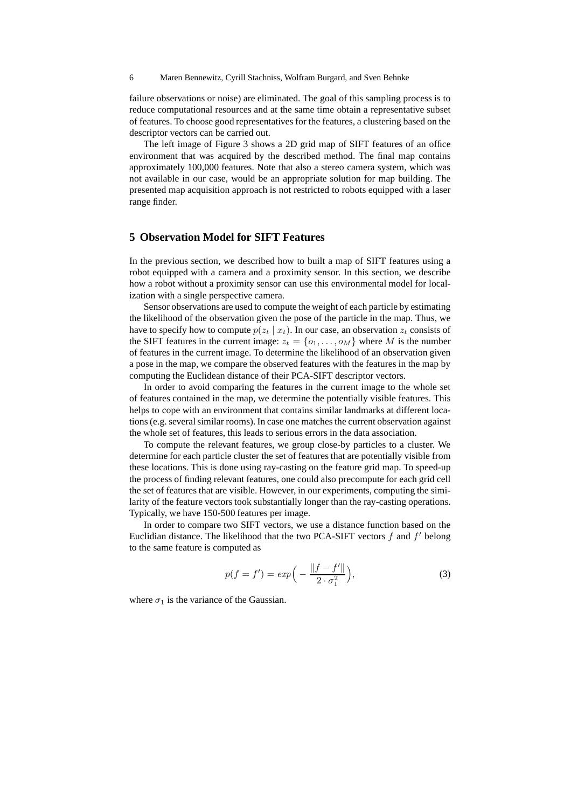failure observations or noise) are eliminated. The goal of this sampling process is to reduce computational resources and at the same time obtain a representative subset of features. To choose good representatives for the features, a clustering based on the descriptor vectors can be carried out.

The left image of Figure 3 shows a 2D grid map of SIFT features of an office environment that was acquired by the described method. The final map contains approximately 100,000 features. Note that also a stereo camera system, which was not available in our case, would be an appropriate solution for map building. The presented map acquisition approach is not restricted to robots equipped with a laser range finder.

## **5 Observation Model for SIFT Features**

In the previous section, we described how to built a map of SIFT features using a robot equipped with a camera and a proximity sensor. In this section, we describe how a robot without a proximity sensor can use this environmental model for localization with a single perspective camera.

Sensor observations are used to compute the weight of each particle by estimating the likelihood of the observation given the pose of the particle in the map. Thus, we have to specify how to compute  $p(z_t | x_t)$ . In our case, an observation  $z_t$  consists of the SIFT features in the current image:  $z_t = \{o_1, \ldots, o_M\}$  where M is the number of features in the current image. To determine the likelihood of an observation given a pose in the map, we compare the observed features with the features in the map by computing the Euclidean distance of their PCA-SIFT descriptor vectors.

In order to avoid comparing the features in the current image to the whole set of features contained in the map, we determine the potentially visible features. This helps to cope with an environment that contains similar landmarks at different locations (e.g. several similar rooms). In case one matches the current observation against the whole set of features, this leads to serious errors in the data association.

To compute the relevant features, we group close-by particles to a cluster. We determine for each particle cluster the set of features that are potentially visible from these locations. This is done using ray-casting on the feature grid map. To speed-up the process of finding relevant features, one could also precompute for each grid cell the set of features that are visible. However, in our experiments, computing the similarity of the feature vectors took substantially longer than the ray-casting operations. Typically, we have 150-500 features per image.

In order to compare two SIFT vectors, we use a distance function based on the Euclidian distance. The likelihood that the two PCA-SIFT vectors  $f$  and  $f'$  belong to the same feature is computed as

$$
p(f = f') = exp\left(-\frac{\|f - f'\|}{2 \cdot \sigma_1^2}\right),\tag{3}
$$

where  $\sigma_1$  is the variance of the Gaussian.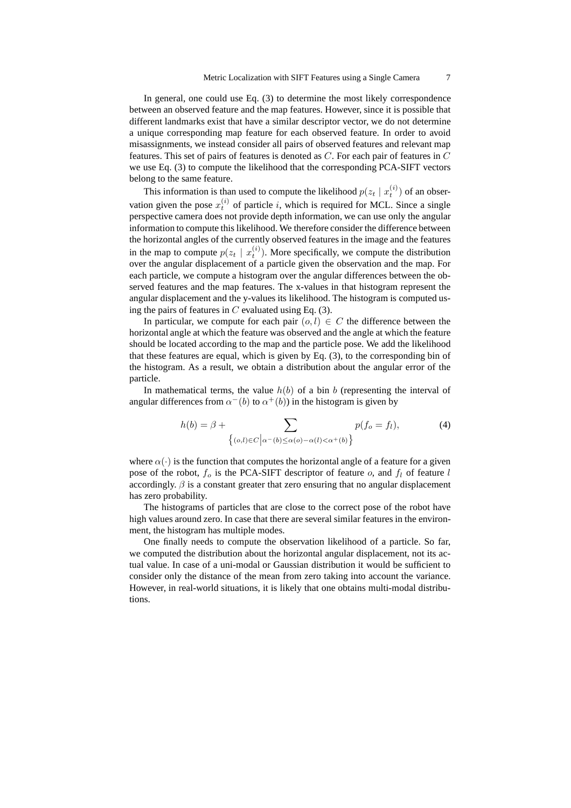In general, one could use Eq. (3) to determine the most likely correspondence between an observed feature and the map features. However, since it is possible that different landmarks exist that have a similar descriptor vector, we do not determine a unique corresponding map feature for each observed feature. In order to avoid misassignments, we instead consider all pairs of observed features and relevant map features. This set of pairs of features is denoted as  $C$ . For each pair of features in  $C$ we use Eq. (3) to compute the likelihood that the corresponding PCA-SIFT vectors belong to the same feature.

This information is than used to compute the likelihood  $p(z_t | x_t^{(i)})$  of an observation given the pose  $x_t^{(i)}$  of particle i, which is required for MCL. Since a single perspective camera does not provide depth information, we can use only the angular information to compute this likelihood. We therefore consider the difference between the horizontal angles of the currently observed features in the image and the features in the map to compute  $p(z_t | x_t^{(i)})$ . More specifically, we compute the distribution over the angular displacement of a particle given the observation and the map. For each particle, we compute a histogram over the angular differences between the observed features and the map features. The x-values in that histogram represent the angular displacement and the y-values its likelihood. The histogram is computed using the pairs of features in  $C$  evaluated using Eq. (3).

In particular, we compute for each pair  $(o, l) \in C$  the difference between the horizontal angle at which the feature was observed and the angle at which the feature should be located according to the map and the particle pose. We add the likelihood that these features are equal, which is given by Eq. (3), to the corresponding bin of the histogram. As a result, we obtain a distribution about the angular error of the particle.

In mathematical terms, the value  $h(b)$  of a bin b (representing the interval of angular differences from  $\alpha^{-}(b)$  to  $\alpha^{+}(b)$ ) in the histogram is given by

$$
h(b) = \beta + \sum_{\{(o,l)\in C \mid \alpha^-(b)\leq \alpha(o) - \alpha(l) < \alpha^+(b)\}} p(f_o = f_l),\tag{4}
$$

where  $\alpha(\cdot)$  is the function that computes the horizontal angle of a feature for a given pose of the robot,  $f_o$  is the PCA-SIFT descriptor of feature  $o$ , and  $f_l$  of feature l accordingly.  $\beta$  is a constant greater that zero ensuring that no angular displacement has zero probability.

The histograms of particles that are close to the correct pose of the robot have high values around zero. In case that there are several similar features in the environment, the histogram has multiple modes.

One finally needs to compute the observation likelihood of a particle. So far, we computed the distribution about the horizontal angular displacement, not its actual value. In case of a uni-modal or Gaussian distribution it would be sufficient to consider only the distance of the mean from zero taking into account the variance. However, in real-world situations, it is likely that one obtains multi-modal distributions.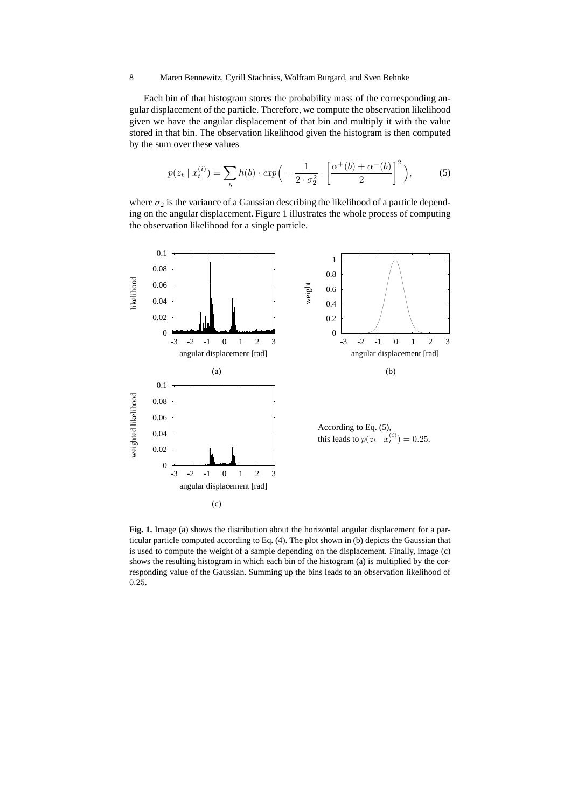Each bin of that histogram stores the probability mass of the corresponding angular displacement of the particle. Therefore, we compute the observation likelihood given we have the angular displacement of that bin and multiply it with the value stored in that bin. The observation likelihood given the histogram is then computed by the sum over these values

$$
p(z_t | x_t^{(i)}) = \sum_b h(b) \cdot exp\left(-\frac{1}{2 \cdot \sigma_2^2} \cdot \left[\frac{\alpha^+(b) + \alpha^-(b)}{2}\right]^2\right),\tag{5}
$$

where  $\sigma_2$  is the variance of a Gaussian describing the likelihood of a particle depending on the angular displacement. Figure 1 illustrates the whole process of computing the observation likelihood for a single particle.



**Fig. 1.** Image (a) shows the distribution about the horizontal angular displacement for a particular particle computed according to Eq. (4). The plot shown in (b) depicts the Gaussian that is used to compute the weight of a sample depending on the displacement. Finally, image (c) shows the resulting histogram in which each bin of the histogram (a) is multiplied by the corresponding value of the Gaussian. Summing up the bins leads to an observation likelihood of 0.25.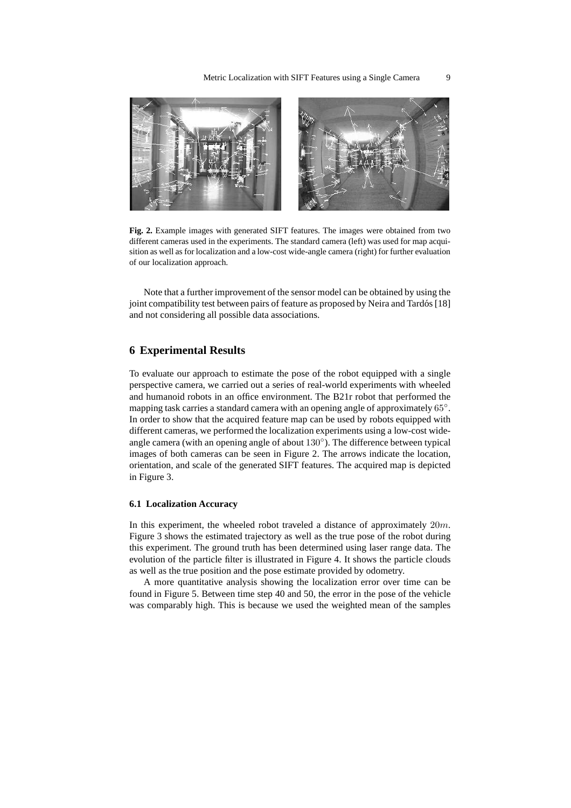

**Fig. 2.** Example images with generated SIFT features. The images were obtained from two different cameras used in the experiments. The standard camera (left) was used for map acquisition as well as for localization and a low-cost wide-angle camera (right) for further evaluation of our localization approach.

Note that a further improvement of the sensor model can be obtained by using the joint compatibility test between pairs of feature as proposed by Neira and Tardós  $[18]$ and not considering all possible data associations.

#### **6 Experimental Results**

To evaluate our approach to estimate the pose of the robot equipped with a single perspective camera, we carried out a series of real-world experiments with wheeled and humanoid robots in an office environment. The B21r robot that performed the mapping task carries a standard camera with an opening angle of approximately 65°. In order to show that the acquired feature map can be used by robots equipped with different cameras, we performed the localization experiments using a low-cost wideangle camera (with an opening angle of about  $130^{\circ}$ ). The difference between typical images of both cameras can be seen in Figure 2. The arrows indicate the location, orientation, and scale of the generated SIFT features. The acquired map is depicted in Figure 3.

#### **6.1 Localization Accuracy**

In this experiment, the wheeled robot traveled a distance of approximately  $20m$ . Figure 3 shows the estimated trajectory as well as the true pose of the robot during this experiment. The ground truth has been determined using laser range data. The evolution of the particle filter is illustrated in Figure 4. It shows the particle clouds as well as the true position and the pose estimate provided by odometry.

A more quantitative analysis showing the localization error over time can be found in Figure 5. Between time step 40 and 50, the error in the pose of the vehicle was comparably high. This is because we used the weighted mean of the samples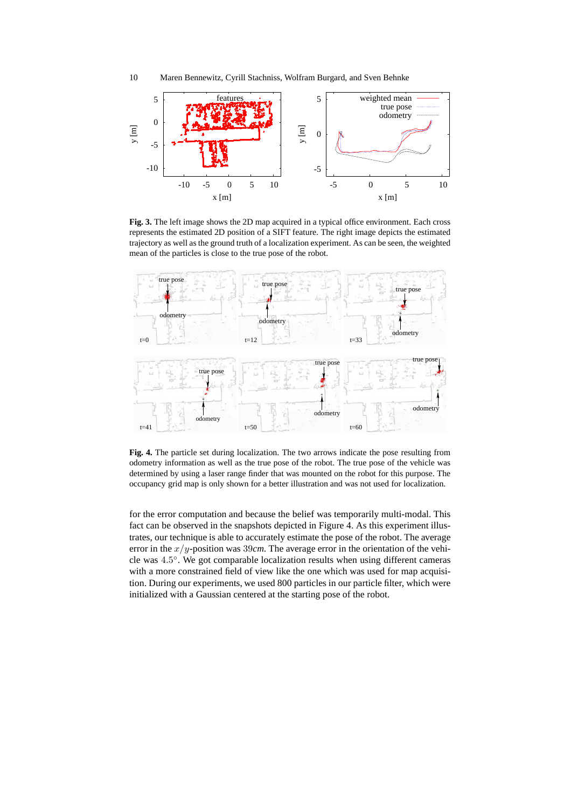



**Fig. 3.** The left image shows the 2D map acquired in a typical office environment. Each cross represents the estimated 2D position of a SIFT feature. The right image depicts the estimated trajectory as well as the ground truth of a localization experiment. As can be seen, the weighted mean of the particles is close to the true pose of the robot.



**Fig. 4.** The particle set during localization. The two arrows indicate the pose resulting from odometry information as well as the true pose of the robot. The true pose of the vehicle was determined by using a laser range finder that was mounted on the robot for this purpose. The occupancy grid map is only shown for a better illustration and was not used for localization.

for the error computation and because the belief was temporarily multi-modal. This fact can be observed in the snapshots depicted in Figure 4. As this experiment illustrates, our technique is able to accurately estimate the pose of the robot. The average error in the  $x/y$ -position was 39*cm*. The average error in the orientation of the vehicle was 4.5 ◦ . We got comparable localization results when using different cameras with a more constrained field of view like the one which was used for map acquisition. During our experiments, we used 800 particles in our particle filter, which were initialized with a Gaussian centered at the starting pose of the robot.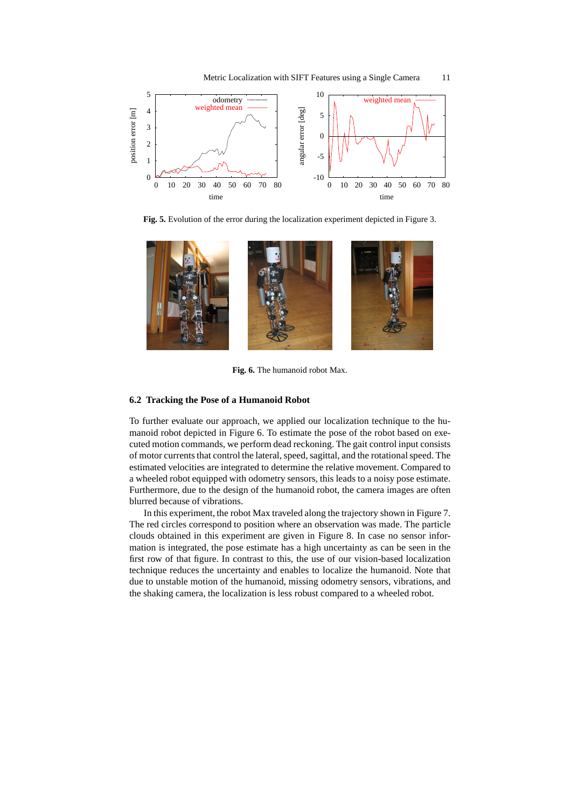



**Fig. 5.** Evolution of the error during the localization experiment depicted in Figure 3.



**Fig. 6.** The humanoid robot Max.

#### **6.2 Tracking the Pose of a Humanoid Robot**

To further evaluate our approach, we applied our localization technique to the humanoid robot depicted in Figure 6. To estimate the pose of the robot based on executed motion commands, we perform dead reckoning. The gait control input consists of motor currents that control the lateral, speed, sagittal, and the rotational speed. The estimated velocities are integrated to determine the relative movement. Compared to a wheeled robot equipped with odometry sensors, this leads to a noisy pose estimate. Furthermore, due to the design of the humanoid robot, the camera images are often blurred because of vibrations.

In this experiment, the robot Max traveled along the trajectory shown in Figure 7. The red circles correspond to position where an observation was made. The particle clouds obtained in this experiment are given in Figure 8. In case no sensor information is integrated, the pose estimate has a high uncertainty as can be seen in the first row of that figure. In contrast to this, the use of our vision-based localization technique reduces the uncertainty and enables to localize the humanoid. Note that due to unstable motion of the humanoid, missing odometry sensors, vibrations, and the shaking camera, the localization is less robust compared to a wheeled robot.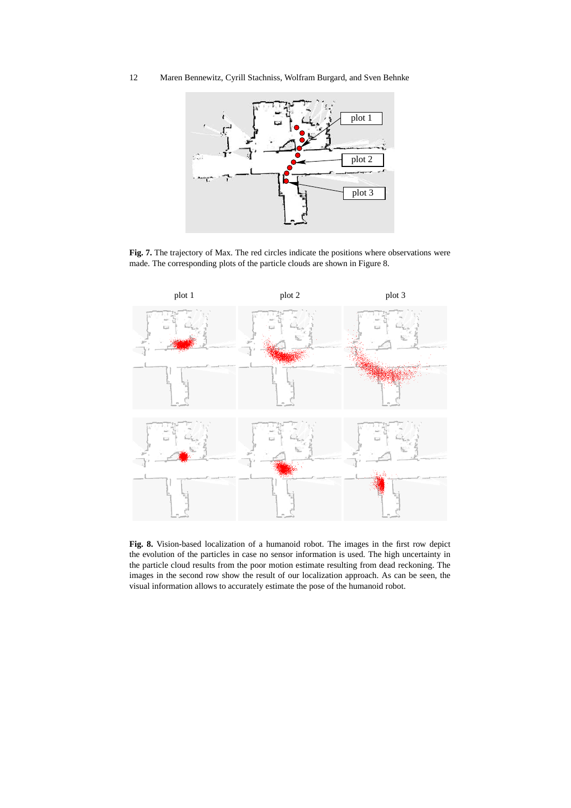

**Fig. 7.** The trajectory of Max. The red circles indicate the positions where observations were made. The corresponding plots of the particle clouds are shown in Figure 8.



**Fig. 8.** Vision-based localization of a humanoid robot. The images in the first row depict the evolution of the particles in case no sensor information is used. The high uncertainty in the particle cloud results from the poor motion estimate resulting from dead reckoning. The images in the second row show the result of our localization approach. As can be seen, the visual information allows to accurately estimate the pose of the humanoid robot.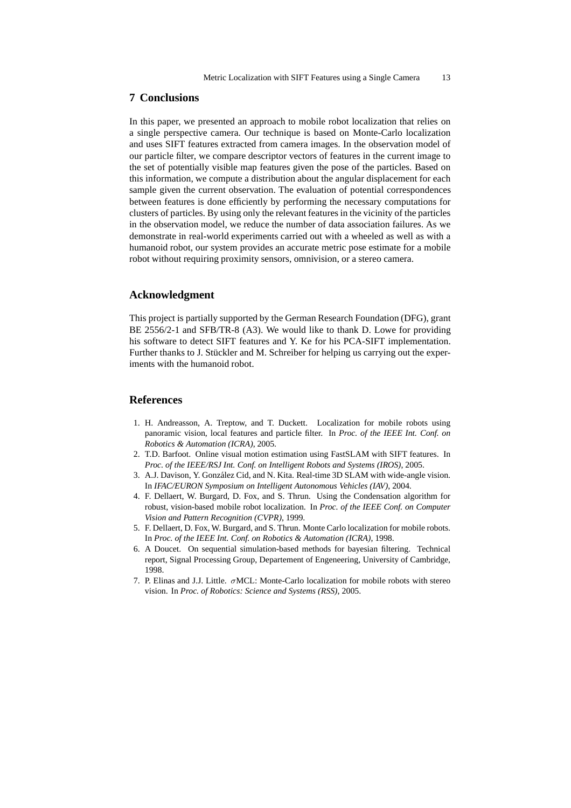## **7 Conclusions**

In this paper, we presented an approach to mobile robot localization that relies on a single perspective camera. Our technique is based on Monte-Carlo localization and uses SIFT features extracted from camera images. In the observation model of our particle filter, we compare descriptor vectors of features in the current image to the set of potentially visible map features given the pose of the particles. Based on this information, we compute a distribution about the angular displacement for each sample given the current observation. The evaluation of potential correspondences between features is done efficiently by performing the necessary computations for clusters of particles. By using only the relevant features in the vicinity of the particles in the observation model, we reduce the number of data association failures. As we demonstrate in real-world experiments carried out with a wheeled as well as with a humanoid robot, our system provides an accurate metric pose estimate for a mobile robot without requiring proximity sensors, omnivision, or a stereo camera.

#### **Acknowledgment**

This project is partially supported by the German Research Foundation (DFG), grant BE 2556/2-1 and SFB/TR-8 (A3). We would like to thank D. Lowe for providing his software to detect SIFT features and Y. Ke for his PCA-SIFT implementation. Further thanks to J. Stückler and M. Schreiber for helping us carrying out the experiments with the humanoid robot.

# **References**

- 1. H. Andreasson, A. Treptow, and T. Duckett. Localization for mobile robots using panoramic vision, local features and particle filter. In *Proc. of the IEEE Int. Conf. on Robotics & Automation (ICRA)*, 2005.
- 2. T.D. Barfoot. Online visual motion estimation using FastSLAM with SIFT features. In *Proc. of the IEEE/RSJ Int. Conf. on Intelligent Robots and Systems (IROS)*, 2005.
- 3. A.J. Davison, Y. Gonz´alez Cid, and N. Kita. Real-time 3D SLAM with wide-angle vision. In *IFAC/EURON Symposium on Intelligent Autonomous Vehicles (IAV)*, 2004.
- 4. F. Dellaert, W. Burgard, D. Fox, and S. Thrun. Using the Condensation algorithm for robust, vision-based mobile robot localization. In *Proc. of the IEEE Conf. on Computer Vision and Pattern Recognition (CVPR)*, 1999.
- 5. F. Dellaert, D. Fox, W. Burgard, and S. Thrun. Monte Carlo localization for mobile robots. In *Proc. of the IEEE Int. Conf. on Robotics & Automation (ICRA)*, 1998.
- 6. A Doucet. On sequential simulation-based methods for bayesian filtering. Technical report, Signal Processing Group, Departement of Engeneering, University of Cambridge, 1998.
- 7. P. Elinas and J.J. Little. σMCL: Monte-Carlo localization for mobile robots with stereo vision. In *Proc. of Robotics: Science and Systems (RSS)*, 2005.